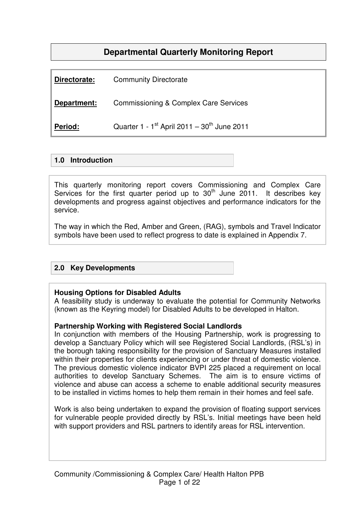# **Departmental Quarterly Monitoring Report**

| Directorate: | <b>Community Directorate</b>                                        |
|--------------|---------------------------------------------------------------------|
| Department:  | <b>Commissioning &amp; Complex Care Services</b>                    |
| Period:      | Quarter 1 - 1 <sup>st</sup> April 2011 - 30 <sup>th</sup> June 2011 |

### **1.0 Introduction**

This quarterly monitoring report covers Commissioning and Complex Care Services for the first quarter period up to  $30<sup>th</sup>$  June 2011. It describes key developments and progress against objectives and performance indicators for the service.

The way in which the Red, Amber and Green, (RAG), symbols and Travel Indicator symbols have been used to reflect progress to date is explained in Appendix 7.

## **2.0 Key Developments**

### **Housing Options for Disabled Adults**

A feasibility study is underway to evaluate the potential for Community Networks (known as the Keyring model) for Disabled Adults to be developed in Halton.

#### **Partnership Working with Registered Social Landlords**

In conjunction with members of the Housing Partnership, work is progressing to develop a Sanctuary Policy which will see Registered Social Landlords, (RSL's) in the borough taking responsibility for the provision of Sanctuary Measures installed within their properties for clients experiencing or under threat of domestic violence. The previous domestic violence indicator BVPI 225 placed a requirement on local authorities to develop Sanctuary Schemes. The aim is to ensure victims of violence and abuse can access a scheme to enable additional security measures to be installed in victims homes to help them remain in their homes and feel safe.

Work is also being undertaken to expand the provision of floating support services for vulnerable people provided directly by RSL's. Initial meetings have been held with support providers and RSL partners to identify areas for RSL intervention.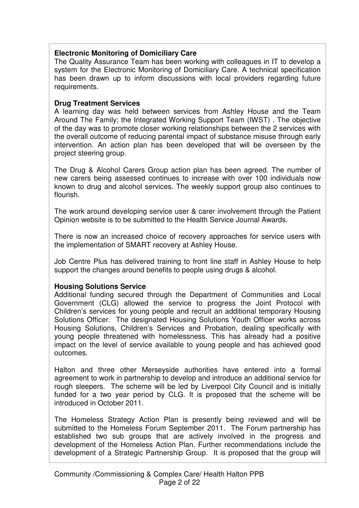# **Electronic Monitoring of Domiciliary Care**

The Quality Assurance Team has been working with colleagues in IT to develop a system for the Electronic Monitoring of Domiciliary Care. A technical specification has been drawn up to inform discussions with local providers regarding future requirements.

### **Drug Treatment Services**

A learning day was held between services from Ashley House and the Team Around The Family; the Integrated Working Support Team (IWST) . The objective of the day was to promote closer working relationships between the 2 services with the overall outcome of reducing parental impact of substance misuse through early intervention. An action plan has been developed that will be overseen by the project steering group.

The Drug & Alcohol Carers Group action plan has been agreed. The number of new carers being assessed continues to increase with over 100 individuals now known to drug and alcohol services. The weekly support group also continues to flourish.

The work around developing service user & carer involvement through the Patient Opinion website is to be submitted to the Health Service Journal Awards.

There is now an increased choice of recovery approaches for service users with the implementation of SMART recovery at Ashley House.

Job Centre Plus has delivered training to front line staff in Ashley House to help support the changes around benefits to people using drugs & alcohol.

### **Housing Solutions Service**

Additional funding secured through the Department of Communities and Local Government (CLG) allowed the service to progress the Joint Protocol with Children's services for young people and recruit an additional temporary Housing Solutions Officer. The designated Housing Solutions Youth Officer works across Housing Solutions, Children's Services and Probation, dealing specifically with young people threatened with homelessness. This has already had a positive impact on the level of service available to young people and has achieved good outcomes.

Halton and three other Merseyside authorities have entered into a formal agreement to work in partnership to develop and introduce an additional service for rough sleepers. The scheme will be led by Liverpool City Council and is initially funded for a two year period by CLG. It is proposed that the scheme will be introduced in October 2011.

The Homeless Strategy Action Plan is presently being reviewed and will be submitted to the Homeless Forum September 2011. The Forum partnership has established two sub groups that are actively involved in the progress and development of the Homeless Action Plan. Further recommendations include the development of a Strategic Partnership Group. It is proposed that the group will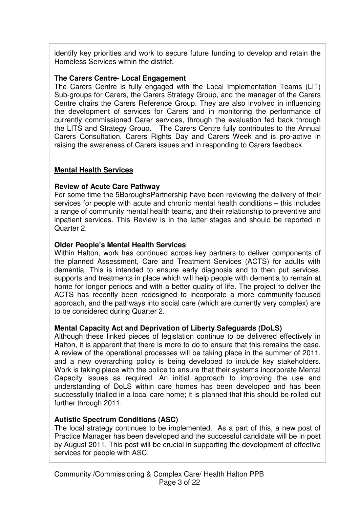identify key priorities and work to secure future funding to develop and retain the Homeless Services within the district.

### **The Carers Centre- Local Engagement**

The Carers Centre is fully engaged with the Local Implementation Teams (LIT) Sub-groups for Carers, the Carers Strategy Group, and the manager of the Carers Centre chairs the Carers Reference Group. They are also involved in influencing the development of services for Carers and in monitoring the performance of currently commissioned Carer services, through the evaluation fed back through the LITS and Strategy Group. The Carers Centre fully contributes to the Annual Carers Consultation, Carers Rights Day and Carers Week and is pro-active in raising the awareness of Carers issues and in responding to Carers feedback.

### **Mental Health Services**

### **Review of Acute Care Pathway**

For some time the 5BoroughsPartnership have been reviewing the delivery of their services for people with acute and chronic mental health conditions – this includes a range of community mental health teams, and their relationship to preventive and inpatient services. This Review is in the latter stages and should be reported in Quarter 2.

### **Older People's Mental Health Services**

Within Halton, work has continued across key partners to deliver components of the planned Assessment, Care and Treatment Services (ACTS) for adults with dementia. This is intended to ensure early diagnosis and to then put services, supports and treatments in place which will help people with dementia to remain at home for longer periods and with a better quality of life. The project to deliver the ACTS has recently been redesigned to incorporate a more community-focused approach, and the pathways into social care (which are currently very complex) are to be considered during Quarter 2.

### **Mental Capacity Act and Deprivation of Liberty Safeguards (DoLS)**

Although these linked pieces of legislation continue to be delivered effectively in Halton, it is apparent that there is more to do to ensure that this remains the case. A review of the operational processes will be taking place in the summer of 2011, and a new overarching policy is being developed to include key stakeholders. Work is taking place with the police to ensure that their systems incorporate Mental Capacity issues as required. An initial approach to improving the use and understanding of DoLS within care homes has been developed and has been successfully trialled in a local care home; it is planned that this should be rolled out further through 2011.

## **Autistic Spectrum Conditions (ASC)**

The local strategy continues to be implemented. As a part of this, a new post of Practice Manager has been developed and the successful candidate will be in post by August 2011. This post will be crucial in supporting the development of effective services for people with ASC.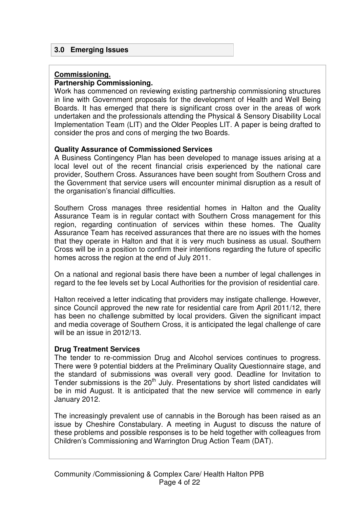### **3.0 Emerging Issues**

### **Commissioning.**

### **Partnership Commissioning.**

Work has commenced on reviewing existing partnership commissioning structures in line with Government proposals for the development of Health and Well Being Boards. It has emerged that there is significant cross over in the areas of work undertaken and the professionals attending the Physical & Sensory Disability Local Implementation Team (LIT) and the Older Peoples LIT. A paper is being drafted to consider the pros and cons of merging the two Boards.

### **Quality Assurance of Commissioned Services**

A Business Contingency Plan has been developed to manage issues arising at a local level out of the recent financial crisis experienced by the national care provider, Southern Cross. Assurances have been sought from Southern Cross and the Government that service users will encounter minimal disruption as a result of the organisation's financial difficulties.

Southern Cross manages three residential homes in Halton and the Quality Assurance Team is in regular contact with Southern Cross management for this region, regarding continuation of services within these homes. The Quality Assurance Team has received assurances that there are no issues with the homes that they operate in Halton and that it is very much business as usual. Southern Cross will be in a position to confirm their intentions regarding the future of specific homes across the region at the end of July 2011.

On a national and regional basis there have been a number of legal challenges in regard to the fee levels set by Local Authorities for the provision of residential care.

Halton received a letter indicating that providers may instigate challenge. However, since Council approved the new rate for residential care from April 2011/12, there has been no challenge submitted by local providers. Given the significant impact and media coverage of Southern Cross, it is anticipated the legal challenge of care will be an issue in 2012/13.

### **Drug Treatment Services**

The tender to re-commission Drug and Alcohol services continues to progress. There were 9 potential bidders at the Preliminary Quality Questionnaire stage, and the standard of submissions was overall very good. Deadline for Invitation to Tender submissions is the  $20<sup>th</sup>$  July. Presentations by short listed candidates will be in mid August. It is anticipated that the new service will commence in early January 2012.

The increasingly prevalent use of cannabis in the Borough has been raised as an issue by Cheshire Constabulary. A meeting in August to discuss the nature of these problems and possible responses is to be held together with colleagues from Children's Commissioning and Warrington Drug Action Team (DAT).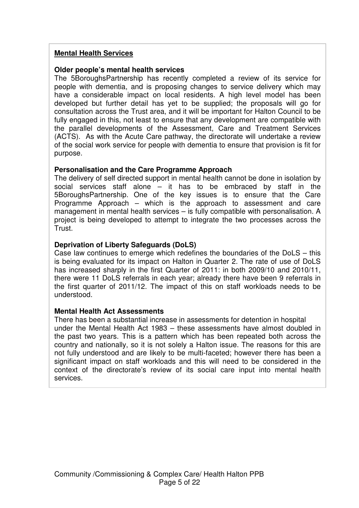### **Mental Health Services**

### **Older people's mental health services**

The 5BoroughsPartnership has recently completed a review of its service for people with dementia, and is proposing changes to service delivery which may have a considerable impact on local residents. A high level model has been developed but further detail has yet to be supplied; the proposals will go for consultation across the Trust area, and it will be important for Halton Council to be fully engaged in this, not least to ensure that any development are compatible with the parallel developments of the Assessment, Care and Treatment Services (ACTS). As with the Acute Care pathway, the directorate will undertake a review of the social work service for people with dementia to ensure that provision is fit for purpose.

### **Personalisation and the Care Programme Approach**

The delivery of self directed support in mental health cannot be done in isolation by social services staff alone  $-$  it has to be embraced by staff in the 5BoroughsPartnership. One of the key issues is to ensure that the Care Programme Approach – which is the approach to assessment and care management in mental health services – is fully compatible with personalisation. A project is being developed to attempt to integrate the two processes across the Trust.

### **Deprivation of Liberty Safeguards (DoLS)**

Case law continues to emerge which redefines the boundaries of the DoLS – this is being evaluated for its impact on Halton in Quarter 2. The rate of use of DoLS has increased sharply in the first Quarter of 2011: in both 2009/10 and 2010/11, there were 11 DoLS referrals in each year; already there have been 9 referrals in the first quarter of 2011/12. The impact of this on staff workloads needs to be understood.

### **Mental Health Act Assessments**

There has been a substantial increase in assessments for detention in hospital under the Mental Health Act 1983 – these assessments have almost doubled in the past two years. This is a pattern which has been repeated both across the country and nationally, so it is not solely a Halton issue. The reasons for this are not fully understood and are likely to be multi-faceted; however there has been a significant impact on staff workloads and this will need to be considered in the context of the directorate's review of its social care input into mental health services.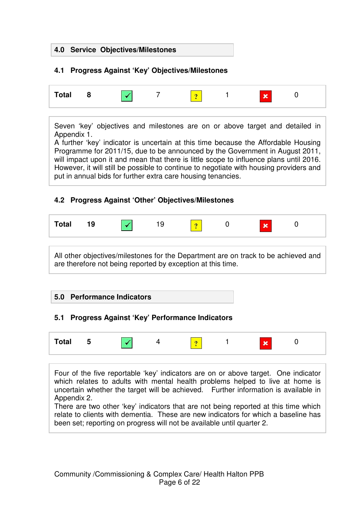### **4.0 Service Objectives/Milestones**

# **4.1 Progress Against 'Key' Objectives/Milestones**

| <b>Total</b> |  | × | <b>But</b> |  |
|--------------|--|---|------------|--|
|              |  |   |            |  |

Seven 'key' objectives and milestones are on or above target and detailed in Appendix 1.

A further 'key' indicator is uncertain at this time because the Affordable Housing Programme for 2011/15, due to be announced by the Government in August 2011, will impact upon it and mean that there is little scope to influence plans until 2016. However, it will still be possible to continue to negotiate with housing providers and put in annual bids for further extra care housing tenancies.

# **4.2 Progress Against 'Other' Objectives/Milestones**

| ⊺otal |  |  |  |  |  | <b>ALCOHOL</b> |  |  |
|-------|--|--|--|--|--|----------------|--|--|
|-------|--|--|--|--|--|----------------|--|--|

All other objectives/milestones for the Department are on track to be achieved and are therefore not being reported by exception at this time.

### **5.0 Performance Indicators**

## **5.1 Progress Against 'Key' Performance Indicators**



Four of the five reportable 'key' indicators are on or above target. One indicator which relates to adults with mental health problems helped to live at home is uncertain whether the target will be achieved. Further information is available in Appendix 2.

There are two other 'key' indicators that are not being reported at this time which relate to clients with dementia. These are new indicators for which a baseline has been set; reporting on progress will not be available until quarter 2.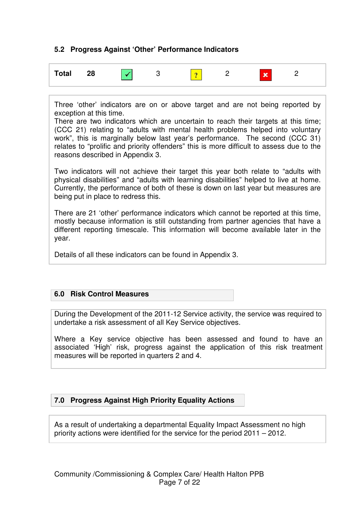# **5.2 Progress Against 'Other' Performance Indicators**



Three 'other' indicators are on or above target and are not being reported by exception at this time.

There are two indicators which are uncertain to reach their targets at this time; (CCC 21) relating to "adults with mental health problems helped into voluntary work", this is marginally below last year's performance. The second (CCC 31) relates to "prolific and priority offenders" this is more difficult to assess due to the reasons described in Appendix 3.

Two indicators will not achieve their target this year both relate to "adults with physical disabilities" and "adults with learning disabilities" helped to live at home. Currently, the performance of both of these is down on last year but measures are being put in place to redress this.

There are 21 'other' performance indicators which cannot be reported at this time, mostly because information is still outstanding from partner agencies that have a different reporting timescale. This information will become available later in the year.

Details of all these indicators can be found in Appendix 3.

## **6.0 Risk Control Measures**

During the Development of the 2011-12 Service activity, the service was required to undertake a risk assessment of all Key Service objectives.

Where a Key service objective has been assessed and found to have an associated 'High' risk, progress against the application of this risk treatment measures will be reported in quarters 2 and 4.

## **7.0 Progress Against High Priority Equality Actions**

As a result of undertaking a departmental Equality Impact Assessment no high priority actions were identified for the service for the period 2011 – 2012.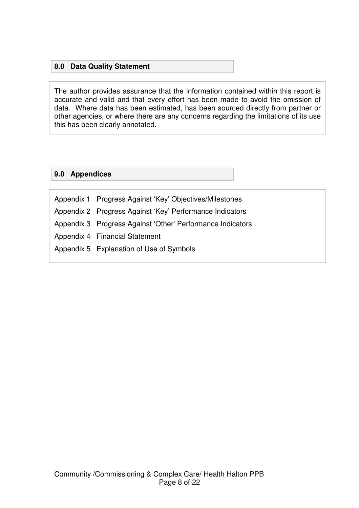# **8.0 Data Quality Statement**

The author provides assurance that the information contained within this report is accurate and valid and that every effort has been made to avoid the omission of data. Where data has been estimated, has been sourced directly from partner or other agencies, or where there are any concerns regarding the limitations of its use this has been clearly annotated.

### **9.0 Appendices**

Appendix 1 Progress Against 'Key' Objectives/Milestones Appendix 2 Progress Against 'Key' Performance Indicators Appendix 3 Progress Against 'Other' Performance Indicators Appendix 4 Financial Statement Appendix 5 Explanation of Use of Symbols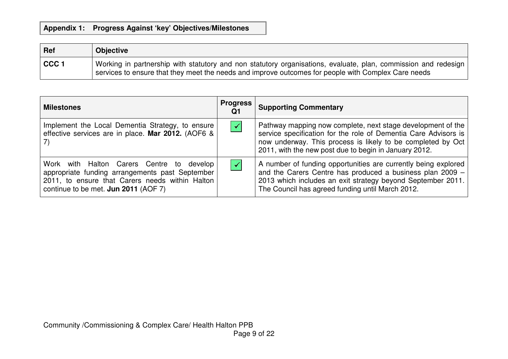| Ref              | <b>Objective</b>                                                                                                                                                                                                      |
|------------------|-----------------------------------------------------------------------------------------------------------------------------------------------------------------------------------------------------------------------|
| CCC <sub>1</sub> | Working in partnership with statutory and non statutory organisations, evaluate, plan, commission and redesign<br>services to ensure that they meet the needs and improve outcomes for people with Complex Care needs |

| <b>Milestones</b>                                                                                                                                                                       | <b>Progress</b><br>Q1 | <b>Supporting Commentary</b>                                                                                                                                                                                                                           |
|-----------------------------------------------------------------------------------------------------------------------------------------------------------------------------------------|-----------------------|--------------------------------------------------------------------------------------------------------------------------------------------------------------------------------------------------------------------------------------------------------|
| Implement the Local Dementia Strategy, to ensure<br>effective services are in place. Mar 2012. (AOF6 &                                                                                  | $\blacktriangledown$  | Pathway mapping now complete, next stage development of the<br>service specification for the role of Dementia Care Advisors is<br>now underway. This process is likely to be completed by Oct<br>2011, with the new post due to begin in January 2012. |
| Work with Halton Carers Centre to develop<br>appropriate funding arrangements past September<br>2011, to ensure that Carers needs within Halton<br>continue to be met. Jun 2011 (AOF 7) | $\checkmark$          | A number of funding opportunities are currently being explored<br>and the Carers Centre has produced a business plan 2009 -<br>2013 which includes an exit strategy beyond September 2011.<br>The Council has agreed funding until March 2012.         |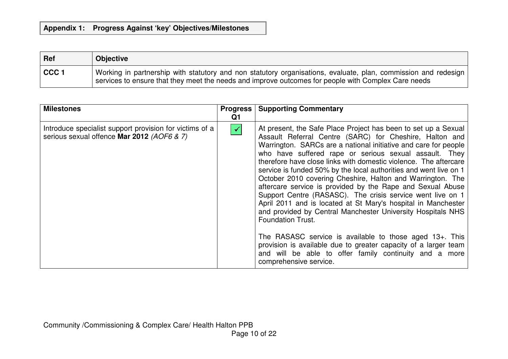| <b>Ref</b>       | <b>Objective</b>                                                                                                                                                                                                      |
|------------------|-----------------------------------------------------------------------------------------------------------------------------------------------------------------------------------------------------------------------|
| CCC <sub>1</sub> | Working in partnership with statutory and non statutory organisations, evaluate, plan, commission and redesign<br>services to ensure that they meet the needs and improve outcomes for people with Complex Care needs |

| <b>Milestones</b>                                                                                     | Q1                   | <b>Progress   Supporting Commentary</b>                                                                                                                                                                                                                                                                                                                                                                                                                                                                                                                                                                                                                                                                                                                                                                                                                                                                                                                                 |
|-------------------------------------------------------------------------------------------------------|----------------------|-------------------------------------------------------------------------------------------------------------------------------------------------------------------------------------------------------------------------------------------------------------------------------------------------------------------------------------------------------------------------------------------------------------------------------------------------------------------------------------------------------------------------------------------------------------------------------------------------------------------------------------------------------------------------------------------------------------------------------------------------------------------------------------------------------------------------------------------------------------------------------------------------------------------------------------------------------------------------|
| Introduce specialist support provision for victims of a<br>serious sexual offence Mar 2012 (AOF6 & 7) | $\blacktriangledown$ | At present, the Safe Place Project has been to set up a Sexual<br>Assault Referral Centre (SARC) for Cheshire, Halton and<br>Warrington. SARCs are a national initiative and care for people<br>who have suffered rape or serious sexual assault. They<br>therefore have close links with domestic violence. The aftercare<br>service is funded 50% by the local authorities and went live on 1<br>October 2010 covering Cheshire, Halton and Warrington. The<br>aftercare service is provided by the Rape and Sexual Abuse<br>Support Centre (RASASC). The crisis service went live on 1<br>April 2011 and is located at St Mary's hospital in Manchester<br>and provided by Central Manchester University Hospitals NHS<br><b>Foundation Trust.</b><br>The RASASC service is available to those aged 13+. This<br>provision is available due to greater capacity of a larger team<br>and will be able to offer family continuity and a more<br>comprehensive service. |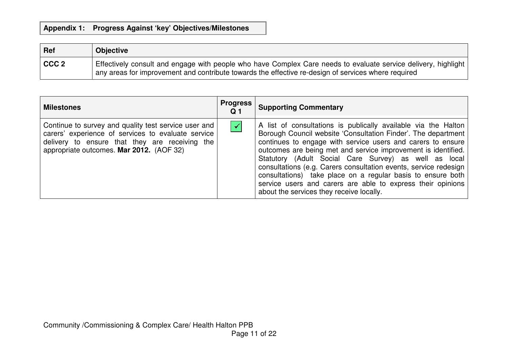| Ref       | <b>Objective</b>                                                                                                                                                                                                      |
|-----------|-----------------------------------------------------------------------------------------------------------------------------------------------------------------------------------------------------------------------|
| $ $ CCC 2 | Effectively consult and engage with people who have Complex Care needs to evaluate service delivery, highlight<br>any areas for improvement and contribute towards the effective re-design of services where required |

| <b>Milestones</b>                                                                                                                                                                                        | <b>Progress</b><br>Q 1 | <b>Supporting Commentary</b>                                                                                                                                                                                                                                                                                                                                                                                                                                                                                                                                           |
|----------------------------------------------------------------------------------------------------------------------------------------------------------------------------------------------------------|------------------------|------------------------------------------------------------------------------------------------------------------------------------------------------------------------------------------------------------------------------------------------------------------------------------------------------------------------------------------------------------------------------------------------------------------------------------------------------------------------------------------------------------------------------------------------------------------------|
| Continue to survey and quality test service user and<br>carers' experience of services to evaluate service<br>delivery to ensure that they are receiving the<br>appropriate outcomes. Mar 2012. (AOF 32) | $\blacktriangledown$   | A list of consultations is publically available via the Halton<br>Borough Council website 'Consultation Finder'. The department<br>continues to engage with service users and carers to ensure<br>outcomes are being met and service improvement is identified.<br>Statutory (Adult Social Care Survey) as well as local<br>consultations (e.g. Carers consultation events, service redesign<br>consultations) take place on a regular basis to ensure both<br>service users and carers are able to express their opinions<br>about the services they receive locally. |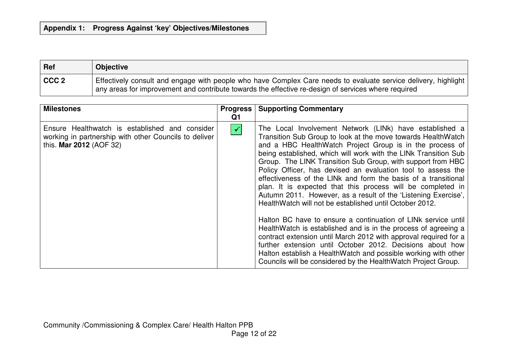| Ref              | <b>Objective</b>                                                                                                                                                                                                      |
|------------------|-----------------------------------------------------------------------------------------------------------------------------------------------------------------------------------------------------------------------|
| CCC <sub>2</sub> | Effectively consult and engage with people who have Complex Care needs to evaluate service delivery, highlight<br>any areas for improvement and contribute towards the effective re-design of services where required |

| <b>Milestones</b>                                                                                                                  | <b>Progress</b><br>Q1 | <b>Supporting Commentary</b>                                                                                                                                                                                                                                                                                                                                                                                                                                                                                                                                                                                                                                                                                                                                                                                                                                                                                                                                                                                                                               |
|------------------------------------------------------------------------------------------------------------------------------------|-----------------------|------------------------------------------------------------------------------------------------------------------------------------------------------------------------------------------------------------------------------------------------------------------------------------------------------------------------------------------------------------------------------------------------------------------------------------------------------------------------------------------------------------------------------------------------------------------------------------------------------------------------------------------------------------------------------------------------------------------------------------------------------------------------------------------------------------------------------------------------------------------------------------------------------------------------------------------------------------------------------------------------------------------------------------------------------------|
| Ensure Healthwatch is established and consider<br>working in partnership with other Councils to deliver<br>this. Mar 2012 (AOF 32) | $\blacktriangledown$  | The Local Involvement Network (LINk) have established a<br>Transition Sub Group to look at the move towards HealthWatch<br>and a HBC HealthWatch Project Group is in the process of<br>being established, which will work with the LINK Transition Sub<br>Group. The LINK Transition Sub Group, with support from HBC<br>Policy Officer, has devised an evaluation tool to assess the<br>effectiveness of the LINk and form the basis of a transitional<br>plan. It is expected that this process will be completed in<br>Autumn 2011. However, as a result of the 'Listening Exercise',<br>HealthWatch will not be established until October 2012.<br>Halton BC have to ensure a continuation of LINK service until<br>HealthWatch is established and is in the process of agreeing a<br>contract extension until March 2012 with approval required for a<br>further extension until October 2012. Decisions about how<br>Halton establish a HealthWatch and possible working with other<br>Councils will be considered by the HealthWatch Project Group. |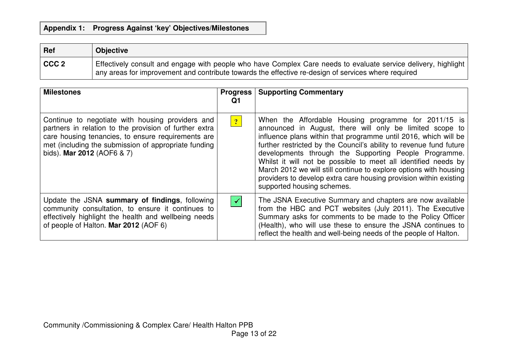| Ref              | <b>Objective</b>                                                                                                                                                                                                      |
|------------------|-----------------------------------------------------------------------------------------------------------------------------------------------------------------------------------------------------------------------|
| CCC <sub>2</sub> | Effectively consult and engage with people who have Complex Care needs to evaluate service delivery, highlight<br>any areas for improvement and contribute towards the effective re-design of services where required |

| <b>Milestones</b>                                                                                                                                                                                                                                      | <b>Progress</b><br>Q1 | <b>Supporting Commentary</b>                                                                                                                                                                                                                                                                                                                                                                                                                                                                                                                                 |
|--------------------------------------------------------------------------------------------------------------------------------------------------------------------------------------------------------------------------------------------------------|-----------------------|--------------------------------------------------------------------------------------------------------------------------------------------------------------------------------------------------------------------------------------------------------------------------------------------------------------------------------------------------------------------------------------------------------------------------------------------------------------------------------------------------------------------------------------------------------------|
| Continue to negotiate with housing providers and<br>partners in relation to the provision of further extra<br>care housing tenancies, to ensure requirements are<br>met (including the submission of appropriate funding<br>bids). Mar 2012 (AOF6 & 7) | $\overline{?}$        | When the Affordable Housing programme for 2011/15 is<br>announced in August, there will only be limited scope to<br>influence plans within that programme until 2016, which will be<br>further restricted by the Council's ability to revenue fund future<br>developments through the Supporting People Programme.<br>Whilst it will not be possible to meet all identified needs by<br>March 2012 we will still continue to explore options with housing<br>providers to develop extra care housing provision within existing<br>supported housing schemes. |
| Update the JSNA summary of findings, following<br>community consultation, to ensure it continues to<br>effectively highlight the health and wellbeing needs<br>of people of Halton. Mar 2012 (AOF 6)                                                   | $\blacktriangledown$  | The JSNA Executive Summary and chapters are now available<br>from the HBC and PCT websites (July 2011). The Executive<br>Summary asks for comments to be made to the Policy Officer<br>(Health), who will use these to ensure the JSNA continues to<br>reflect the health and well-being needs of the people of Halton.                                                                                                                                                                                                                                      |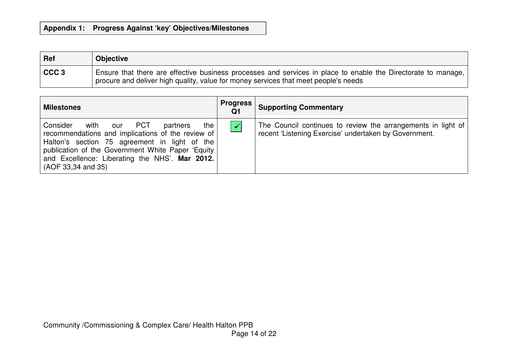| Ref              | <b>Objective</b>                                                                                                                                                                                     |
|------------------|------------------------------------------------------------------------------------------------------------------------------------------------------------------------------------------------------|
| CCC <sub>3</sub> | Ensure that there are effective business processes and services in place to enable the Directorate to manage,<br>procure and deliver high quality, value for money services that meet people's needs |

| <b>Milestones</b>                                                                                                                                                                                                                                                                   | <b>Progress</b><br>Q1 | <b>Supporting Commentary</b>                                                                                          |
|-------------------------------------------------------------------------------------------------------------------------------------------------------------------------------------------------------------------------------------------------------------------------------------|-----------------------|-----------------------------------------------------------------------------------------------------------------------|
| Consider<br>our PCT<br>with<br>the<br>partners<br>recommendations and implications of the review of<br>Halton's section 75 agreement in light of the<br>publication of the Government White Paper 'Equity  <br>and Excellence: Liberating the NHS'. Mar 2012.<br>(AOF 33,34 and 35) | $\checkmark$          | The Council continues to review the arrangements in light of<br>recent 'Listening Exercise' undertaken by Government. |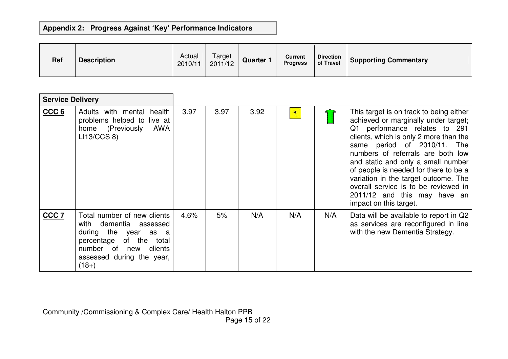# **Appendix 2: Progress Against 'Key' Performance Indicators**

| <b>Ref</b> | <b>Description</b> | Actual<br>2010/11 | Target<br>2011/12 | <b>Quarter 1</b> | Current<br><b>Progress</b> | <b>Direction</b><br>of Travel | <b>Supporting Commentary</b> |
|------------|--------------------|-------------------|-------------------|------------------|----------------------------|-------------------------------|------------------------------|
|------------|--------------------|-------------------|-------------------|------------------|----------------------------|-------------------------------|------------------------------|

| <b>Service Delivery</b> |                                                                                                                                                                                       |      |      |      |                |     |                                                                                                                                                                                                                                                                                                                                                                                                                                                            |
|-------------------------|---------------------------------------------------------------------------------------------------------------------------------------------------------------------------------------|------|------|------|----------------|-----|------------------------------------------------------------------------------------------------------------------------------------------------------------------------------------------------------------------------------------------------------------------------------------------------------------------------------------------------------------------------------------------------------------------------------------------------------------|
| CCC <sub>6</sub>        | Adults with mental health<br>problems helped to<br>live at<br>home (Previously<br><b>AWA</b><br>LI13/CCS 8                                                                            | 3.97 | 3.97 | 3.92 | $\overline{?}$ |     | This target is on track to being either<br>achieved or marginally under target;<br>Q1 performance relates to 291<br>clients, which is only 2 more than the<br>same period of 2010/11.<br>The<br>numbers of referrals are both low<br>and static and only a small number<br>of people is needed for there to be a<br>variation in the target outcome. The<br>overall service is to be reviewed in<br>2011/12 and this may have an<br>impact on this target. |
| CCC <sub>7</sub>        | Total number of new clients<br>with dementia assessed<br>during the year<br>as a<br>percentage of the<br>total<br>number of<br>clients<br>new<br>assessed during the year,<br>$(18+)$ | 4.6% | 5%   | N/A  | N/A            | N/A | Data will be available to report in Q2<br>as services are reconfigured in line<br>with the new Dementia Strategy.                                                                                                                                                                                                                                                                                                                                          |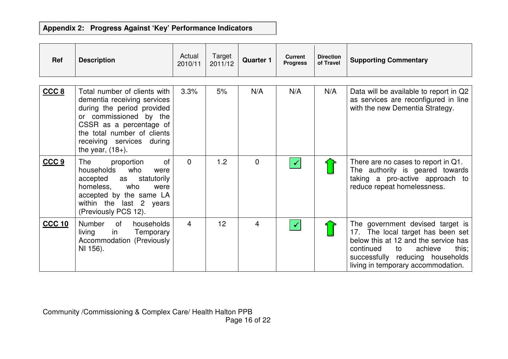# **Appendix 2: Progress Against 'Key' Performance Indicators**

| Ref              | <b>Description</b>                                                                                                                                                                                                                | Actual<br>2010/11 | Target<br>2011/12 | <b>Quarter 1</b>        | <b>Current</b><br><b>Progress</b> | <b>Direction</b><br>of Travel | <b>Supporting Commentary</b>                                                                                                                                                                                                   |
|------------------|-----------------------------------------------------------------------------------------------------------------------------------------------------------------------------------------------------------------------------------|-------------------|-------------------|-------------------------|-----------------------------------|-------------------------------|--------------------------------------------------------------------------------------------------------------------------------------------------------------------------------------------------------------------------------|
| CCC 8            | Total number of clients with<br>dementia receiving services<br>during the period provided<br>or commissioned by the<br>CSSR as a percentage of<br>the total number of clients<br>receiving services during<br>the year, $(18+)$ . | 3.3%              | 5%                | N/A                     | N/A                               | N/A                           | Data will be available to report in Q2<br>as services are reconfigured in line<br>with the new Dementia Strategy.                                                                                                              |
| CCC <sub>9</sub> | <b>of</b><br>The<br>proportion<br>households<br>who<br>were<br>accepted as<br>statutorily<br>homeless,<br>who<br>were<br>accepted by the same LA<br>within the last 2 years<br>(Previously PCS 12).                               | $\Omega$          | 1.2               | $\Omega$                |                                   |                               | There are no cases to report in Q1.<br>The authority is geared towards<br>taking a pro-active approach to<br>reduce repeat homelessness.                                                                                       |
| <b>CCC 10</b>    | Number<br>of<br>households<br>in<br>living<br>Temporary<br>Accommodation (Previously<br>NI 156).                                                                                                                                  | $\overline{4}$    | 12                | $\overline{\mathbf{4}}$ |                                   |                               | The government devised target is<br>17. The local target has been set<br>below this at 12 and the service has<br>continued<br>achieve<br>this;<br>to<br>successfully reducing households<br>living in temporary accommodation. |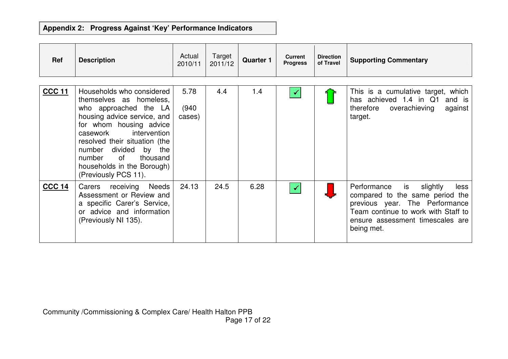# **Appendix 2: Progress Against 'Key' Performance Indicators**

| Ref           | <b>Description</b>                                                                                                                                                                                                                                                                                                 | Actual<br>2010/11       | Target<br>2011/12 | <b>Quarter 1</b> | <b>Current</b><br><b>Progress</b> | <b>Direction</b><br>of Travel | <b>Supporting Commentary</b>                                                                                                                                                                        |
|---------------|--------------------------------------------------------------------------------------------------------------------------------------------------------------------------------------------------------------------------------------------------------------------------------------------------------------------|-------------------------|-------------------|------------------|-----------------------------------|-------------------------------|-----------------------------------------------------------------------------------------------------------------------------------------------------------------------------------------------------|
| <b>CCC 11</b> | Households who considered<br>themselves as homeless,<br>who approached the LA<br>housing advice service, and<br>for whom housing advice<br>intervention<br>casework<br>resolved their situation (the<br>number divided<br>by the<br>0f<br>thousand<br>number<br>households in the Borough)<br>(Previously PCS 11). | 5.78<br>(940)<br>cases) | 4.4               | 1.4              | $\checkmark$                      |                               | This is a cumulative target, which<br>has achieved 1.4 in Q1<br>and is<br>therefore overachieving<br>against<br>target.                                                                             |
| <b>CCC 14</b> | receiving Needs<br>Carers<br>Assessment or Review and<br>a specific Carer's Service,<br>or advice and information<br>(Previously NI 135).                                                                                                                                                                          | 24.13                   | 24.5              | 6.28             | $\checkmark$                      |                               | Performance<br>is<br>slightly<br>less<br>compared to the same period the<br>previous year. The Performance<br>Team continue to work with Staff to<br>ensure assessment timescales are<br>being met. |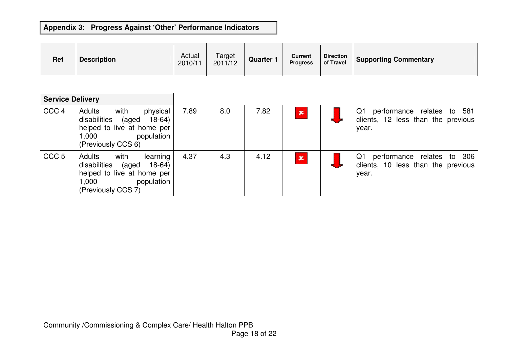# **Appendix 3: Progress Against 'Other' Performance Indicators**

| <b>Ref</b> | <b>Description</b> | Actual<br>2010/11 | Target<br>2011/12 | Quarter <sup>-</sup> | <b>Current</b><br><b>Progress</b> | <b>Direction</b><br>of Travel | <b>Supporting Commentary</b> |
|------------|--------------------|-------------------|-------------------|----------------------|-----------------------------------|-------------------------------|------------------------------|
|------------|--------------------|-------------------|-------------------|----------------------|-----------------------------------|-------------------------------|------------------------------|

| <b>Service Delivery</b> |                                                                                                                                       |      |     |      |              |                                                                                 |
|-------------------------|---------------------------------------------------------------------------------------------------------------------------------------|------|-----|------|--------------|---------------------------------------------------------------------------------|
| CCC <sub>4</sub>        | Adults<br>with<br>physical<br>disabilities (aged<br>18-64)<br>helped to live at home per<br>population<br>1,000<br>(Previously CCS 6) | 7.89 | 8.0 | 7.82 | $\mathbf{x}$ | performance relates to 581<br>Q1<br>clients, 12 less than the previous<br>year. |
| CCC <sub>5</sub>        | Adults<br>with<br>learning<br>disabilities (aged<br>18-64)<br>helped to live at home per<br>population<br>1.000<br>(Previously CCS 7) | 4.37 | 4.3 | 4.12 | $\mathbf{x}$ | performance relates to 306<br>Q1<br>clients, 10 less than the previous<br>year. |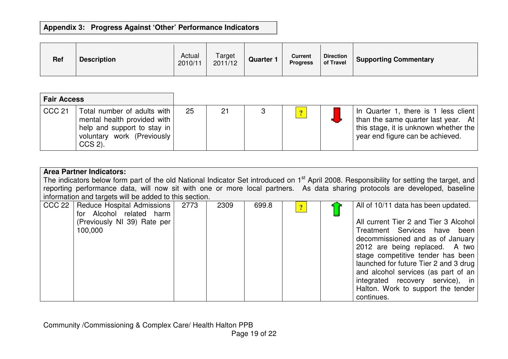# **Appendix 3: Progress Against 'Other' Performance Indicators**

| <b>Ref</b> | <b>Description</b> | Actual<br>2010/11 | Target<br>2011/12 | <b>Quarter 1</b> | <b>Current</b><br><b>Progress</b> | <b>Direction</b><br>of Travel | <b>Supporting Commentary</b> |
|------------|--------------------|-------------------|-------------------|------------------|-----------------------------------|-------------------------------|------------------------------|
|------------|--------------------|-------------------|-------------------|------------------|-----------------------------------|-------------------------------|------------------------------|

| <b>Fair Access</b> |                                                                                                                                             |    |    |          |                                                                                                                                                              |
|--------------------|---------------------------------------------------------------------------------------------------------------------------------------------|----|----|----------|--------------------------------------------------------------------------------------------------------------------------------------------------------------|
| <b>CCC 21</b>      | Total number of adults with<br>mental health provided with<br>help and support to stay in $\vert$<br>voluntary work (Previously)<br>CCS 2). | 25 | 21 | $\Omega$ | In Quarter 1, there is 1 less client<br>I than the same quarter last year. At  <br>this stage, it is unknown whether the<br>year end figure can be achieved. |

| <b>Area Partner Indicators:</b><br>The indicators below form part of the old National Indicator Set introduced on 1 <sup>st</sup> April 2008. Responsibility for setting the target, and<br>reporting performance data, will now sit with one or more local partners. As data sharing protocols are developed, baseline |      |      |       |              |  |                                                                       |  |  |
|-------------------------------------------------------------------------------------------------------------------------------------------------------------------------------------------------------------------------------------------------------------------------------------------------------------------------|------|------|-------|--------------|--|-----------------------------------------------------------------------|--|--|
| information and targets will be added to this section.                                                                                                                                                                                                                                                                  |      |      |       |              |  |                                                                       |  |  |
| Reduce Hospital Admissions<br>CCC 22<br>for Alcohol related harm                                                                                                                                                                                                                                                        | 2773 | 2309 | 699.8 | $\mathbf{P}$ |  | All of 10/11 data has been updated.                                   |  |  |
| (Previously NI 39) Rate per<br>100,000                                                                                                                                                                                                                                                                                  |      |      |       |              |  | All current Tier 2 and Tier 3 Alcohol<br>Treatment Services have been |  |  |
|                                                                                                                                                                                                                                                                                                                         |      |      |       |              |  | decommissioned and as of January                                      |  |  |
|                                                                                                                                                                                                                                                                                                                         |      |      |       |              |  | 2012 are being replaced. A two<br>stage competitive tender has been   |  |  |
|                                                                                                                                                                                                                                                                                                                         |      |      |       |              |  | launched for future Tier 2 and 3 drug                                 |  |  |
|                                                                                                                                                                                                                                                                                                                         |      |      |       |              |  | and alcohol services (as part of an                                   |  |  |
|                                                                                                                                                                                                                                                                                                                         |      |      |       |              |  | integrated recovery service), in                                      |  |  |
|                                                                                                                                                                                                                                                                                                                         |      |      |       |              |  | Halton. Work to support the tender<br>continues.                      |  |  |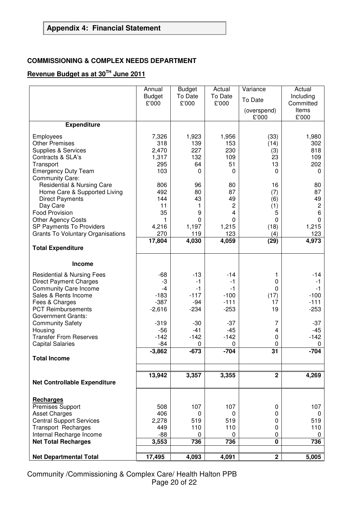### **COMMISSIONING & COMPLEX NEEDS DEPARTMENT**

# **Revenue Budget as at 30TH June 2011**

|                                                          | Annual          | <b>Budget</b> | Actual         | Variance             | Actual         |
|----------------------------------------------------------|-----------------|---------------|----------------|----------------------|----------------|
|                                                          | <b>Budget</b>   | To Date       | To Date        | To Date              | Including      |
|                                                          | £'000           | £'000         | £'000          |                      | Committed      |
|                                                          |                 |               |                | (overspend)<br>£'000 | Items<br>£'000 |
| <b>Expenditure</b>                                       |                 |               |                |                      |                |
| Employees                                                | 7,326           | 1,923         | 1,956          | (33)                 | 1,980          |
| <b>Other Premises</b>                                    | 318             | 139           | 153            | (14)                 | 302            |
| Supplies & Services                                      | 2,470           | 227           | 230            | (3)                  | 818            |
| Contracts & SLA's                                        | 1,317           | 132           | 109            | 23                   | 109            |
| Transport                                                | 295             | 64            | 51             | 13                   | 202            |
| <b>Emergency Duty Team</b>                               | 103             | $\Omega$      | $\Omega$       | $\Omega$             | 0              |
| <b>Community Care:</b>                                   |                 |               |                |                      |                |
| <b>Residential &amp; Nursing Care</b>                    | 806             | 96            | 80             | 16                   | 80             |
| Home Care & Supported Living                             | 492             | 80            | 87             | (7)                  | 87             |
| <b>Direct Payments</b>                                   | 144             | 43            | 49             | (6)                  | 49             |
| Day Care                                                 | 11              | 1             | $\overline{c}$ | (1)                  | $\sqrt{2}$     |
| <b>Food Provision</b>                                    | 35              | 9             | 4              | 5                    | 6              |
| <b>Other Agency Costs</b>                                | 1               | $\Omega$      | $\Omega$       | 0                    | 0              |
| SP Payments To Providers                                 | 4,216           | 1,197         | 1,215          | (18)                 | 1,215          |
| <b>Grants To Voluntary Organisations</b>                 | 270<br>17,804   | 119<br>4,030  | 123<br>4,059   | (4)<br>(29)          | 123<br>4,973   |
| <b>Total Expenditure</b>                                 |                 |               |                |                      |                |
|                                                          |                 |               |                |                      |                |
| Income                                                   |                 |               |                |                      |                |
| <b>Residential &amp; Nursing Fees</b>                    | $-68$           | $-13$         | -14            | 1                    | $-14$          |
| <b>Direct Payment Charges</b>                            | -3              | $-1$          | $-1$           | 0                    | $-1$           |
| <b>Community Care Income</b>                             | -4              | $-1$          | $-1$           | 0                    | $-1$           |
| Sales & Rents Income                                     | $-183$          | $-117$        | $-100$         | (17)                 | $-100$         |
| Fees & Charges                                           | $-387$          | $-94$         | $-111$         | 17                   | $-111$         |
| <b>PCT Reimbursements</b>                                | $-2,616$        | $-234$        | $-253$         | 19                   | $-253$         |
| <b>Government Grants:</b>                                |                 |               |                |                      |                |
| <b>Community Safety</b>                                  | $-319$          | $-30$         | $-37$          | 7                    | $-37$          |
| Housing                                                  | $-56$<br>$-142$ | $-41$         | $-45$          | 4                    | -45            |
| <b>Transfer From Reserves</b><br><b>Capital Salaries</b> | $-84$           | $-142$<br>0   | $-142$<br>0    | 0<br>0               | $-142$<br>0    |
|                                                          | $-3,862$        | $-673$        | $-704$         | 31                   | $-704$         |
| <b>Total Income</b>                                      |                 |               |                |                      |                |
|                                                          |                 |               |                |                      |                |
|                                                          | 13,942          | 3,357         | 3,355          | $\mathbf{2}$         | 4,269          |
| <b>Net Controllable Expenditure</b>                      |                 |               |                |                      |                |
|                                                          |                 |               |                |                      |                |
| <b>Recharges</b>                                         |                 |               |                |                      |                |
| <b>Premises Support</b><br><b>Asset Charges</b>          | 508<br>406      | 107<br>0      | 107<br>0       | 0<br>0               | 107<br>0       |
| <b>Central Support Services</b>                          | 2,278           | 519           | 519            | 0                    | 519            |
| <b>Transport Recharges</b>                               | 449             | 110           | 110            | 0                    | 110            |
| Internal Recharge Income                                 | $-88$           | 0             | 0              | 0                    | 0              |
| <b>Net Total Recharges</b>                               | 3,553           | 736           | 736            | $\mathbf 0$          | 736            |
|                                                          |                 |               |                |                      |                |
| <b>Net Departmental Total</b>                            | 17,495          | 4,093         | 4,091          | $\mathbf{2}$         | 5,005          |

Community /Commissioning & Complex Care/ Health Halton PPB Page 20 of 22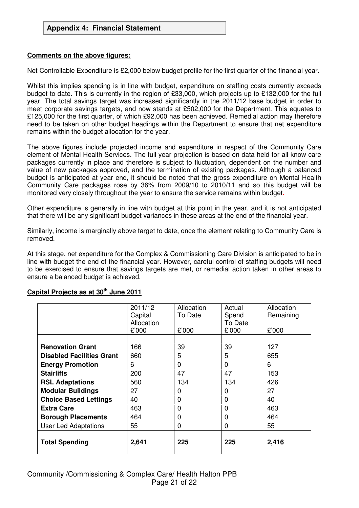#### **Comments on the above figures:**

Net Controllable Expenditure is £2,000 below budget profile for the first quarter of the financial year.

Whilst this implies spending is in line with budget, expenditure on staffing costs currently exceeds budget to date. This is currently in the region of £33,000, which projects up to £132,000 for the full year. The total savings target was increased significantly in the 2011/12 base budget in order to meet corporate savings targets, and now stands at £502,000 for the Department. This equates to £125,000 for the first quarter, of which £92,000 has been achieved. Remedial action may therefore need to be taken on other budget headings within the Department to ensure that net expenditure remains within the budget allocation for the year.

The above figures include projected income and expenditure in respect of the Community Care element of Mental Health Services. The full year projection is based on data held for all know care packages currently in place and therefore is subject to fluctuation, dependent on the number and value of new packages approved, and the termination of existing packages. Although a balanced budget is anticipated at year end, it should be noted that the gross expenditure on Mental Health Community Care packages rose by 36% from 2009/10 to 2010/11 and so this budget will be monitored very closely throughout the year to ensure the service remains within budget.

Other expenditure is generally in line with budget at this point in the year, and it is not anticipated that there will be any significant budget variances in these areas at the end of the financial year.

Similarly, income is marginally above target to date, once the element relating to Community Care is removed.

At this stage, net expenditure for the Complex & Commissioning Care Division is anticipated to be in line with budget the end of the financial year. However, careful control of staffing budgets will need to be exercised to ensure that savings targets are met, or remedial action taken in other areas to ensure a balanced budget is achieved.

|                                  | 2011/12<br>Capital<br>Allocation | Allocation<br>To Date | Actual<br>Spend<br>To Date | Allocation<br>Remaining |
|----------------------------------|----------------------------------|-----------------------|----------------------------|-------------------------|
|                                  | £'000                            | £'000                 | £'000                      | £'000                   |
|                                  |                                  |                       |                            |                         |
| <b>Renovation Grant</b>          | 166                              | 39                    | 39                         | 127                     |
| <b>Disabled Facilities Grant</b> | 660                              | 5                     | 5                          | 655                     |
| <b>Energy Promotion</b>          | 6                                | 0                     | 0                          | 6                       |
| <b>Stairlifts</b>                | 200                              | 47                    | 47                         | 153                     |
| <b>RSL Adaptations</b>           | 560                              | 134                   | 134                        | 426                     |
| <b>Modular Buildings</b>         | 27                               | 0                     | 0                          | 27                      |
| <b>Choice Based Lettings</b>     | 40                               | 0                     | 0                          | 40                      |
| <b>Extra Care</b>                | 463                              | 0                     | 0                          | 463                     |
| <b>Borough Placements</b>        | 464                              | 0                     | 0                          | 464                     |
| <b>User Led Adaptations</b>      | 55                               | 0                     | 0                          | 55                      |
| <b>Total Spending</b>            | 2,641                            | 225                   | 225                        | 2,416                   |

### **Capital Projects as at 30th June 2011**